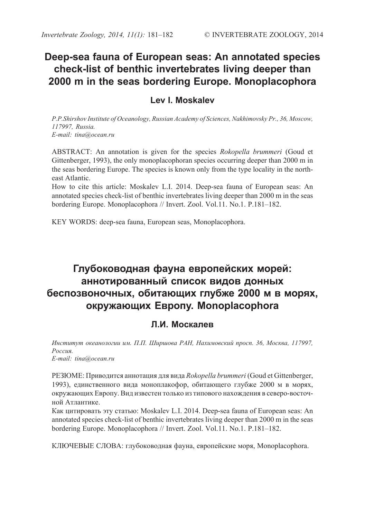## **Deep-sea fauna of European seas: An annotated species check-list of benthic invertebrates living deeper than 2000 m in the seas bordering Europe. Monoplacophora**

## **Lev I. Moskalev**

*P.P.Shirshov Institute of Oceanology, Russian Academy of Sciences, Nakhimovsky Pr., 36, Moscow, 117997, Russia. E-mail: tina@ocean.ru*

ABSTRACT: An annotation is given for the species *Rokopella brummeri* (Goud et Gittenberger, 1993), the only monoplacophoran species occurring deeper than 2000 m in the seas bordering Europe. The species is known only from the type locality in the northeast Atlantic.

How to cite this article: Moskalev L.I. 2014. Deep-sea fauna of European seas: An annotated species check-list of benthic invertebrates living deeper than 2000 m in the seas bordering Europe. Monoplacophora // Invert. Zool. Vol.11. No.1. P.181–182.

KEY WORDS: deep-sea fauna, European seas, Monoplacophora.

# **Глубоководная фауна европейских морей: аннотированный список видов донных беспозвоночных, обитающих глубже 2000 м в морях, окружающих Европу. Monoplacophora**

## **Л.И. Москалев**

*Институт океанологии им. П.П. Ширшова РАН, Нахимовский просп. 36, Москва, 117997, Россия. E-mail: tina@ocean.ru*

РЕЗЮМЕ: Приводится аннотация для вида *Rokopella brummeri* (Goud et Gittenberger, 1993), единственного вида моноплакофор, обитающего глубже 2000 м в морях, окружающих Европу. Вид известен только из типового нахождения в северо-восточной Атлантике.

Как цитировать эту статью: Moskalev L.I. 2014. Deep-sea fauna of European seas: An annotated species check-list of benthic invertebrates living deeper than 2000 m in the seas bordering Europe. Monoplacophora // Invert. Zool. Vol.11. No.1. P.181–182.

КЛЮЧЕВЫЕ СЛОВА: глубоководная фауна, европейские моря, Monoplacophora.